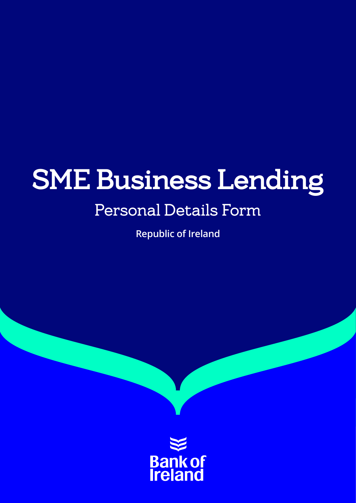# SME Business Lending

# Personal Details Form

**Republic of Ireland**

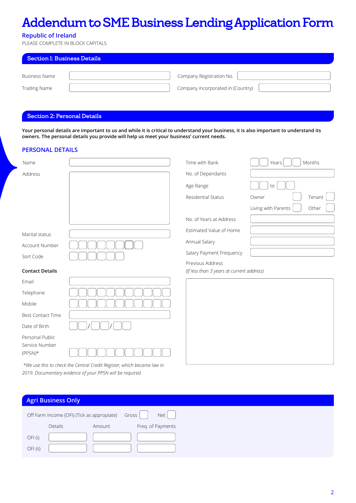# Addendum to SME Business Lending Application Form

# **Republic of Ireland**

PLEASE COMPLETE IN BLOCK CAPITALS

| Section 1: Business Details |  |                                   |  |  |  |
|-----------------------------|--|-----------------------------------|--|--|--|
| Business Name               |  | Company Registration No.          |  |  |  |
| <b>Trading Name</b>         |  | Company incorporated in (Country) |  |  |  |

### Section 2: Personal Details

**Your personal details are important to us and while it is critical to understand your business, it is also important to understand its owners. The personal details you provide will help us meet your business' current needs.** 

## **PERSONAL DETAILS**

| Name                                           |                                                                        | Time with Bank                            | Years<br>Months              |
|------------------------------------------------|------------------------------------------------------------------------|-------------------------------------------|------------------------------|
| Address                                        |                                                                        | No. of Dependants                         |                              |
|                                                |                                                                        | Age Range                                 | to                           |
|                                                |                                                                        | Residential Status                        | Tenant<br>Owner              |
|                                                |                                                                        |                                           | Living with Parents<br>Other |
|                                                |                                                                        | No. of Years at Address                   |                              |
| Marital status                                 |                                                                        | Estimated Value of Home                   |                              |
| Account Number                                 |                                                                        | Annual Salary                             |                              |
| Sort Code                                      |                                                                        | Salary Payment Frequency                  |                              |
|                                                |                                                                        | Previous Address                          |                              |
| <b>Contact Details</b>                         |                                                                        | (If less than 3 years at current address) |                              |
| Email                                          |                                                                        |                                           |                              |
| Telephone                                      |                                                                        |                                           |                              |
| Mobile                                         |                                                                        |                                           |                              |
| <b>Best Contact Time</b>                       |                                                                        |                                           |                              |
| Date of Birth                                  |                                                                        |                                           |                              |
| Personal Public<br>Service Number<br>$(PPSN)*$ |                                                                        |                                           |                              |
|                                                | *We use this to check the Central Credit Register, which became law in |                                           |                              |

*\*We use this to check the Central Credit Register, which became law in 2019. Documentary evidence of your PPSN will be required.*

### **Agri Business Only**

|          | Off Farm Income (OFI) (Tick as appropiate) Gross |        |  | Net               |
|----------|--------------------------------------------------|--------|--|-------------------|
|          | Details                                          | Amount |  | Freq. of Payments |
| OFI(i)   |                                                  |        |  |                   |
| OFI (ii) |                                                  |        |  |                   |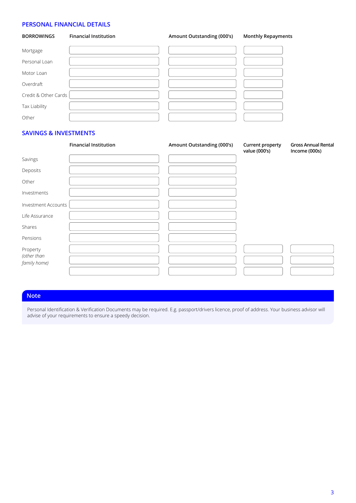# **PERSONAL FINANCIAL DETAILS**

| <b>BORROWINGS</b>    | <b>Financial Institution</b> | Amount Outstanding (000's) | <b>Monthly Repayments</b> |
|----------------------|------------------------------|----------------------------|---------------------------|
| Mortgage             |                              |                            |                           |
| Personal Loan        |                              |                            |                           |
| Motor Loan           |                              |                            |                           |
| Overdraft            |                              |                            |                           |
| Credit & Other Cards |                              |                            |                           |
| Tax Liability        |                              |                            |                           |
| Other                |                              |                            |                           |

## **SAVINGS & INVESTMENTS**

|                             | <b>Financial Institution</b> | Amount Outstanding (000's) | <b>Current property</b><br>value (000's) | <b>Gross Annual Rental</b><br>Income (000s) |
|-----------------------------|------------------------------|----------------------------|------------------------------------------|---------------------------------------------|
| Savings                     |                              |                            |                                          |                                             |
| Deposits                    |                              |                            |                                          |                                             |
| Other                       |                              |                            |                                          |                                             |
| Investments                 |                              |                            |                                          |                                             |
| Investment Accounts         |                              |                            |                                          |                                             |
| Life Assurance              |                              |                            |                                          |                                             |
| Shares                      |                              |                            |                                          |                                             |
| Pensions                    |                              |                            |                                          |                                             |
| Property                    |                              |                            |                                          |                                             |
| (other than<br>family home) |                              |                            |                                          |                                             |
|                             |                              |                            |                                          |                                             |

# **Note**

Personal Identification & Verification Documents may be required. E.g. passport/drivers licence, proof of address. Your business advisor will advise of your requirements to ensure a speedy decision.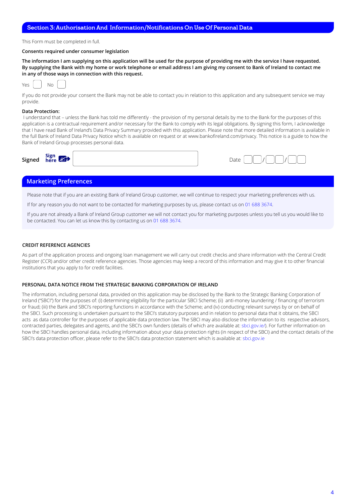#### Section 3: Authorisation And Information/Notifications On Use Of Personal Data

This Form must be completed in full.

#### **Consents required under consumer legislation**

**The information I am supplying on this application will be used for the purpose of providing me with the service I have requested. By supplying the Bank with my home or work telephone or email address I am giving my consent to Bank of Ireland to contact me in any of those ways in connection with this request.** 

|  | w |  |
|--|---|--|
|  |   |  |

If you do not provide your consent the Bank may not be able to contact you in relation to this application and any subsequent service we may provide.

#### **Data Protection:**

 I understand that – unless the Bank has told me differently - the provision of my personal details by me to the Bank for the purposes of this application is a contractual requirement and/or necessary for the Bank to comply with its legal obligations. By signing this form, I acknowledge that I have read Bank of Ireland's Data Privacy Summary provided with this application. Please note that more detailed information is available in the full Bank of Ireland Data Privacy Notice which is available on request or at www.bankofireland.com/privacy. This notice is a guide to how the Bank of Ireland Group processes personal data.

| Signed | sign<br>$\mathbb{Z}$<br>ro:<br>here |  | Jatr |
|--------|-------------------------------------|--|------|
|--------|-------------------------------------|--|------|

#### **Marketing Preferences**

Please note that if you are an existing Bank of Ireland Group customer, we will continue to respect your marketing preferences with us.

If for any reason you do not want to be contacted for marketing purposes by us, please contact us on 01 688 3674.

If you are not already a Bank of Ireland Group customer we will not contact you for marketing purposes unless you tell us you would like to be contacted. You can let us know this by contacting us on 01 688 3674.

#### **CREDIT REFERENCE AGENCIES**

As part of the application process and ongoing loan management we will carry out credit checks and share information with the Central Credit Register (CCR) and/or other credit reference agencies. Those agencies may keep a record of this information and may give it to other financial institutions that you apply to for credit facilities.

#### **PERSONAL DATA NOTICE FROM THE STRATEGIC BANKING CORPORATION OF IRELAND**

The information, including personal data, provided on this application may be disclosed by the Bank to the Strategic Banking Corporation of Ireland ("SBCI") for the purposes of: (i) determining eligibility for the particular SBCI Scheme; (ii) anti-money laundering / financing of terrorism or fraud; (iii) the Bank and SBCI's reporting functions in accordance with the Scheme; and (iv) conducting relevant surveys by or on behalf of the SBCI. Such processing is undertaken pursuant to the SBCI's statutory purposes and in relation to personal data that it obtains, the SBCI acts as data controller for the purposes of applicable data protection law. The SBCI may also disclose the information to its respective advisors, contracted parties, delegates and agents, and the SBCI's own funders (details of which are available at: sbci.gov.ie/). For further information on how the SBCI handles personal data, including information about your data protection rights (in respect of the SBCI) and the contact details of the SBCI's data protection officer, please refer to the SBCI's data protection statement which is available at: sbci.gov.ie